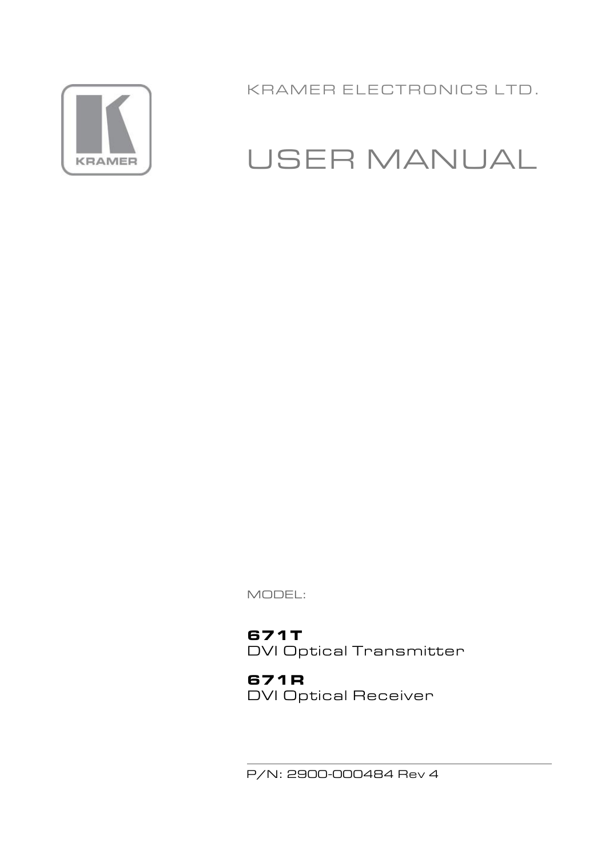

KRAMER ELECTRONICS LTD.

# USER MANUAL

MODEL:

**671T** DVI Optical Transmitter

**671R** DVI Optical Receiver

P/N: 2900-000484 Rev 4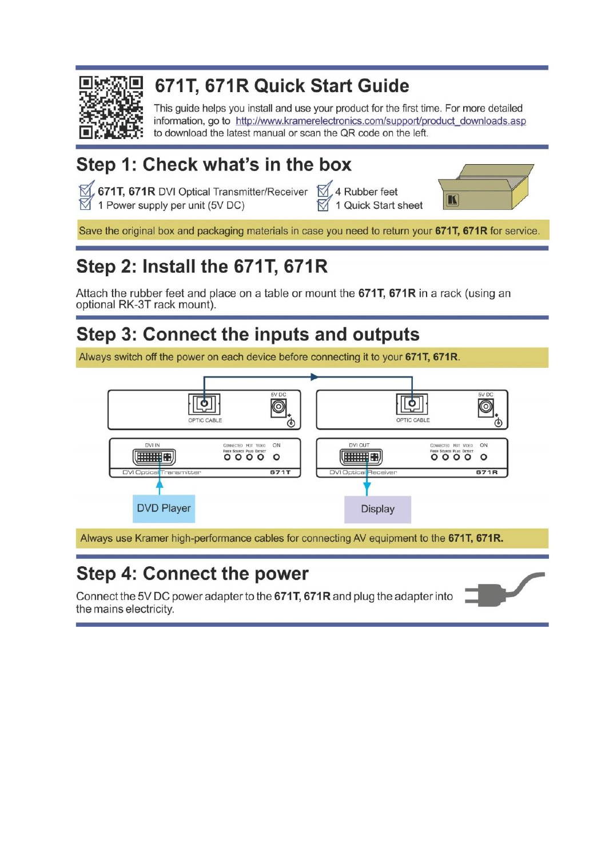

# 671T, 671R Quick Start Guide

This guide helps you install and use your product for the first time. For more detailed information, go to http://www.kramerelectronics.com/support/product\_downloads.asp to download the latest manual or scan the QR code on the left.

# Step 1: Check what's in the box

 $\mathbb Z$ , 671T, 671R DVI Optical Transmitter/Receiver  $\mathbb Z$ , 4 Rubber feet 1 Power supply per unit (5V DC)

1 Quick Start sheet



Save the original box and packaging materials in case you need to return your 671T, 671R for service.

# Step 2: Install the 671T, 671R

Attach the rubber feet and place on a table or mount the 671T, 671R in a rack (using an optional RK-3T rack mount).

# Step 3: Connect the inputs and outputs

Always switch off the power on each device before connecting it to your 671T, 671R.



Always use Kramer high-performance cables for connecting AV equipment to the 671T, 671R.

# Step 4: Connect the power

Connect the 5V DC power adapter to the 671T, 671R and plug the adapter into the mains electricity.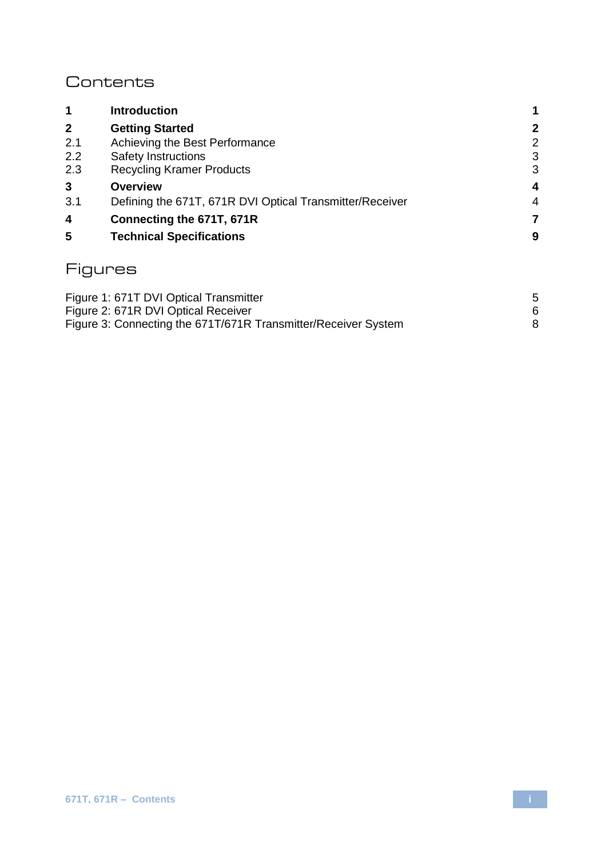### **Contents**

| 1            | <b>Introduction</b>                                      | 1 |
|--------------|----------------------------------------------------------|---|
| $\mathbf{2}$ | <b>Getting Started</b>                                   | 2 |
| 2.1          | Achieving the Best Performance                           | 2 |
| 2.2          | Safety Instructions                                      | 3 |
| 2.3          | <b>Recycling Kramer Products</b>                         | 3 |
| 3            | Overview                                                 | 4 |
| 3.1          | Defining the 671T, 671R DVI Optical Transmitter/Receiver | 4 |
| 4            | Connecting the 671T, 671R                                | 7 |
| 5            | <b>Technical Specifications</b>                          | 9 |
|              | ures                                                     |   |

| Figure 1: 671T DVI Optical Transmitter                         |  |
|----------------------------------------------------------------|--|
| Figure 2: 671R DVI Optical Receiver                            |  |
| Figure 3: Connecting the 671T/671R Transmitter/Receiver System |  |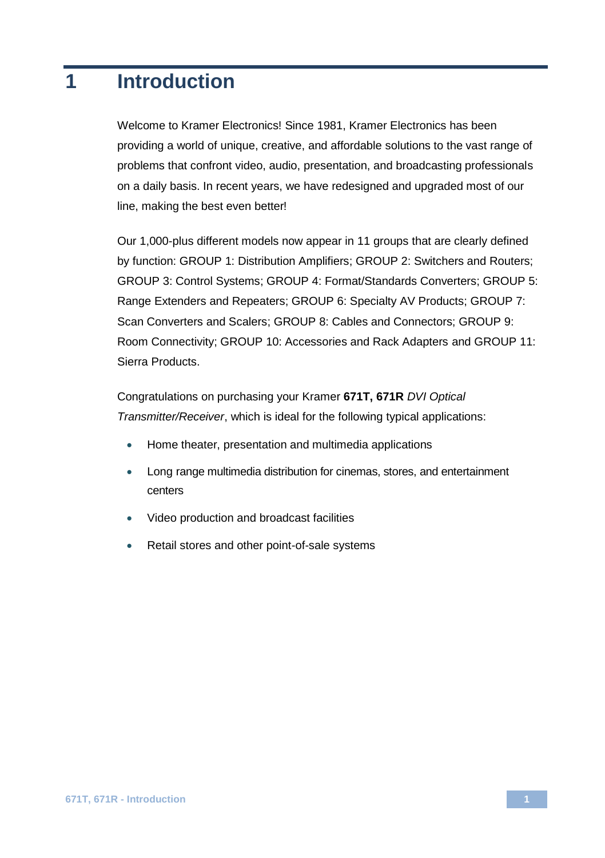# <span id="page-3-0"></span>**1 Introduction**

Welcome to Kramer Electronics! Since 1981, Kramer Electronics has been providing a world of unique, creative, and affordable solutions to the vast range of problems that confront video, audio, presentation, and broadcasting professionals on a daily basis. In recent years, we have redesigned and upgraded most of our line, making the best even better!

Our 1,000-plus different models now appear in 11 groups that are clearly defined by function: GROUP 1: Distribution Amplifiers; GROUP 2: Switchers and Routers; GROUP 3: Control Systems; GROUP 4: Format/Standards Converters; GROUP 5: Range Extenders and Repeaters; GROUP 6: Specialty AV Products; GROUP 7: Scan Converters and Scalers; GROUP 8: Cables and Connectors; GROUP 9: Room Connectivity; GROUP 10: Accessories and Rack Adapters and GROUP 11: Sierra Products.

Congratulations on purchasing your Kramer **671T, 671R** *DVI Optical Transmitter/Receiver*, which is ideal for the following typical applications:

- Home theater, presentation and multimedia applications
- Long range multimedia distribution for cinemas, stores, and entertainment centers
- Video production and broadcast facilities
- Retail stores and other point-of-sale systems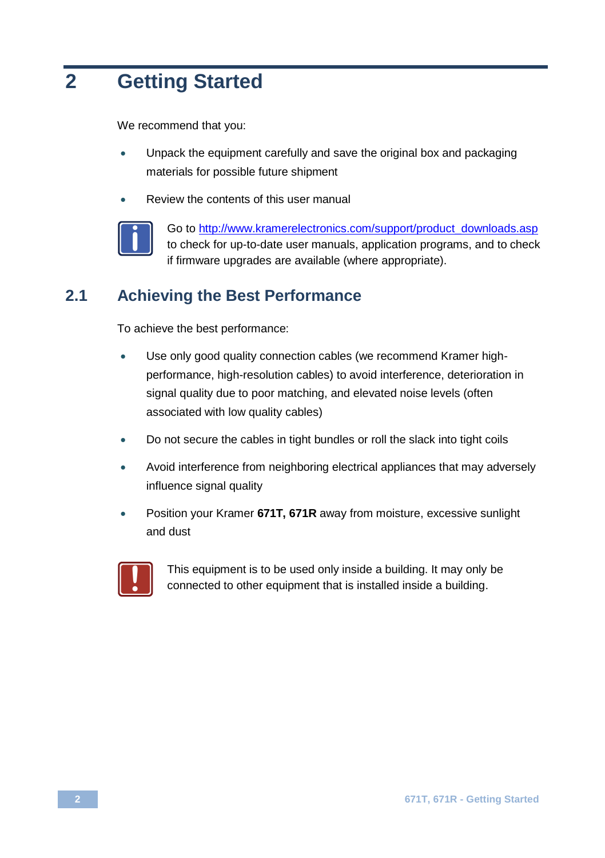# <span id="page-4-0"></span>**2 Getting Started**

We recommend that you:

- Unpack the equipment carefully and save the original box and packaging materials for possible future shipment
- Review the contents of this user manual



Go to [http://www.kramerelectronics.com/support/product\\_downloads.asp](http://www.kramerelectronics.com/support/product_downloads.asp) to check for up-to-date user manuals, application programs, and to check if firmware upgrades are available (where appropriate).

### <span id="page-4-1"></span>**2.1 Achieving the Best Performance**

To achieve the best performance:

- Use only good quality connection cables (we recommend Kramer highperformance, high-resolution cables) to avoid interference, deterioration in signal quality due to poor matching, and elevated noise levels (often associated with low quality cables)
- Do not secure the cables in tight bundles or roll the slack into tight coils
- Avoid interference from neighboring electrical appliances that may adversely influence signal quality
- Position your Kramer **671T, 671R** away from moisture, excessive sunlight and dust



This equipment is to be used only inside a building. It may only be connected to other equipment that is installed inside a building.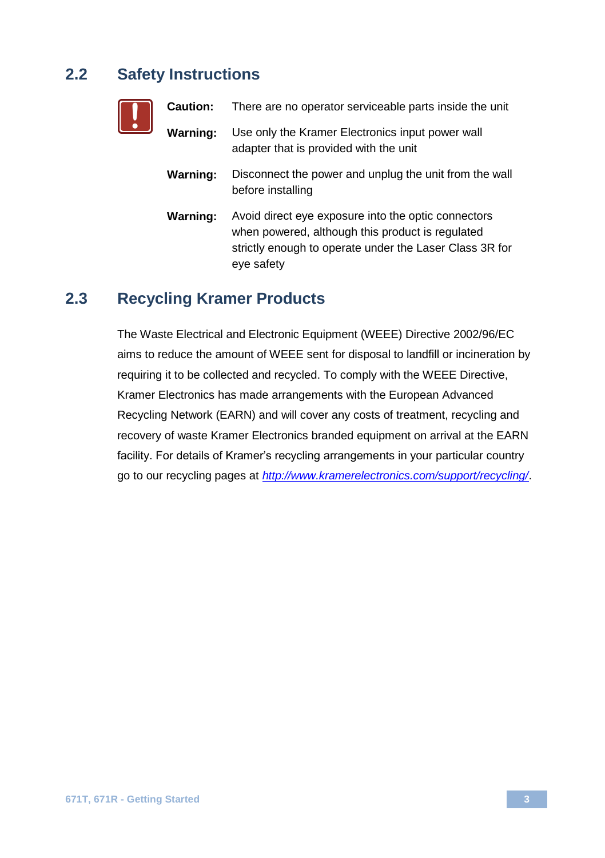### <span id="page-5-0"></span>**2.2 Safety Instructions**

**!**

| Caution: | There are no operator serviceable parts inside the unit                                                                                                                          |
|----------|----------------------------------------------------------------------------------------------------------------------------------------------------------------------------------|
| Warning: | Use only the Kramer Electronics input power wall<br>adapter that is provided with the unit                                                                                       |
| Warning: | Disconnect the power and unplug the unit from the wall<br>before installing                                                                                                      |
| Warning: | Avoid direct eye exposure into the optic connectors<br>when powered, although this product is regulated<br>strictly enough to operate under the Laser Class 3R for<br>eye safety |

### <span id="page-5-1"></span>**2.3 Recycling Kramer Products**

The Waste Electrical and Electronic Equipment (WEEE) Directive 2002/96/EC aims to reduce the amount of WEEE sent for disposal to landfill or incineration by requiring it to be collected and recycled. To comply with the WEEE Directive, Kramer Electronics has made arrangements with the European Advanced Recycling Network (EARN) and will cover any costs of treatment, recycling and recovery of waste Kramer Electronics branded equipment on arrival at the EARN facility. For details of Kramer's recycling arrangements in your particular country go to our recycling pages at *<http://www.kramerelectronics.com/support/recycling/>*.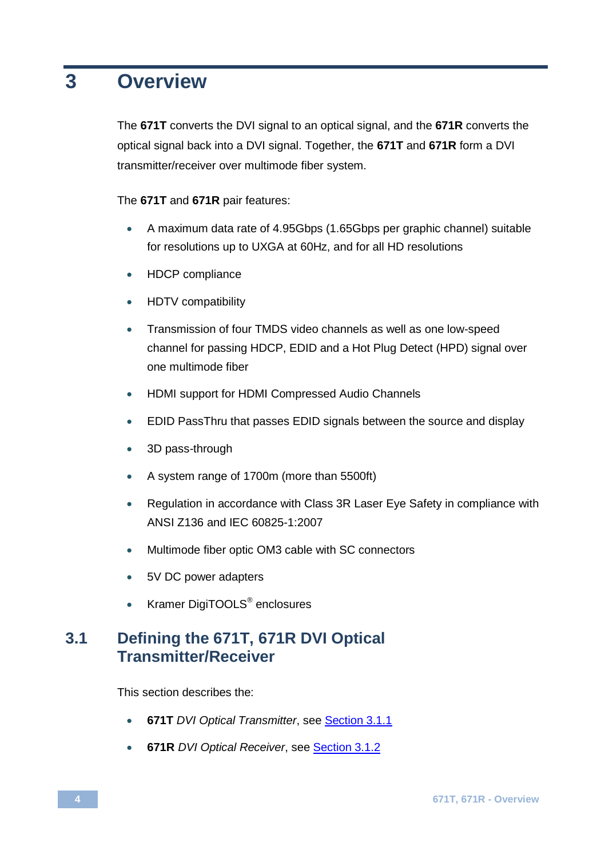## <span id="page-6-0"></span>**3 Overview**

The **671T** converts the DVI signal to an optical signal, and the **671R** converts the optical signal back into a DVI signal. Together, the **671T** and **671R** form a DVI transmitter/receiver over multimode fiber system.

The **671T** and **671R** pair features:

- A maximum data rate of 4.95Gbps (1.65Gbps per graphic channel) suitable for resolutions up to UXGA at 60Hz, and for all HD resolutions
- HDCP compliance
- HDTV compatibility
- Transmission of four TMDS video channels as well as one low-speed channel for passing HDCP, EDID and a Hot Plug Detect (HPD) signal over one multimode fiber
- HDMI support for HDMI Compressed Audio Channels
- EDID PassThru that passes EDID signals between the source and display
- 3D pass-through
- A system range of 1700m (more than 5500ft)
- Regulation in accordance with Class 3R Laser Eye Safety in compliance with ANSI Z136 and IEC 60825-1:2007
- Multimode fiber optic OM3 cable with SC connectors
- 5V DC power adapters
- Kramer DigiTOOLS<sup>®</sup> enclosures

### <span id="page-6-1"></span>**3.1 Defining the 671T, 671R DVI Optical Transmitter/Receiver**

This section describes the:

- **671T** *DVI Optical Transmitter*, see Section [3.1.1](#page-7-1)
- **671R** *DVI Optical Receiver*, see Sectio[n 3.1.2](#page-8-1)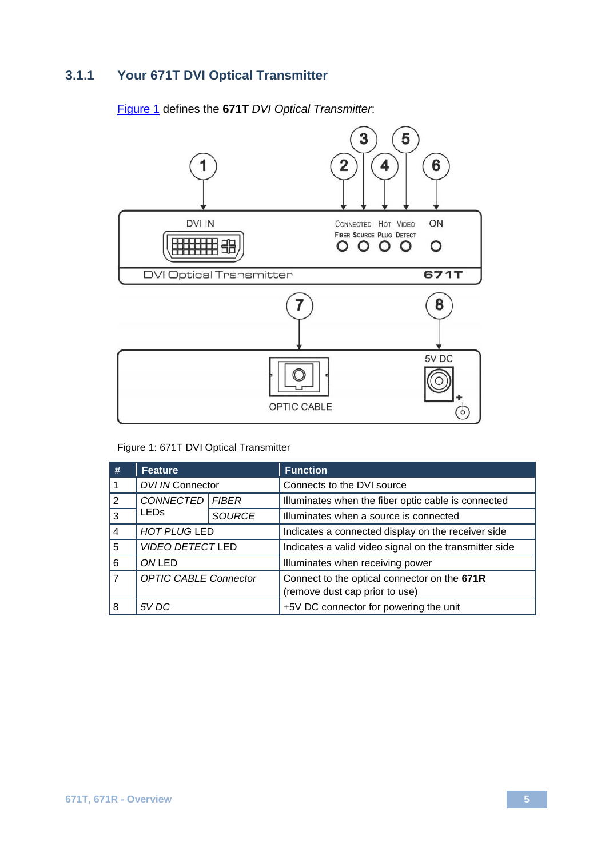### <span id="page-7-1"></span>**3.1.1 Your 671T DVI Optical Transmitter**

### [Figure 1](#page-7-0) defines the **671T** *DVI Optical Transmitter*:



Figure 1: 671T DVI Optical Transmitter

<span id="page-7-0"></span>

| #              | <b>Feature</b>               |               | <b>Function</b>                                        |
|----------------|------------------------------|---------------|--------------------------------------------------------|
|                | DVI IN Connector             |               | Connects to the DVI source                             |
| $\mathcal{P}$  | CONNECTED   FIBER            |               | Illuminates when the fiber optic cable is connected    |
| 3              | <b>LED<sub>s</sub></b>       | <b>SOURCE</b> | Illuminates when a source is connected                 |
| $\overline{4}$ | <b>HOT PLUG LED</b>          |               | Indicates a connected display on the receiver side     |
| 5              | <b>VIDEO DETECT LED</b>      |               | Indicates a valid video signal on the transmitter side |
| 6              | ONLED                        |               | Illuminates when receiving power                       |
| $\overline{7}$ | <b>OPTIC CABLE Connector</b> |               | Connect to the optical connector on the 671R           |
|                |                              |               | (remove dust cap prior to use)                         |
| 8              | 5V DC                        |               | +5V DC connector for powering the unit                 |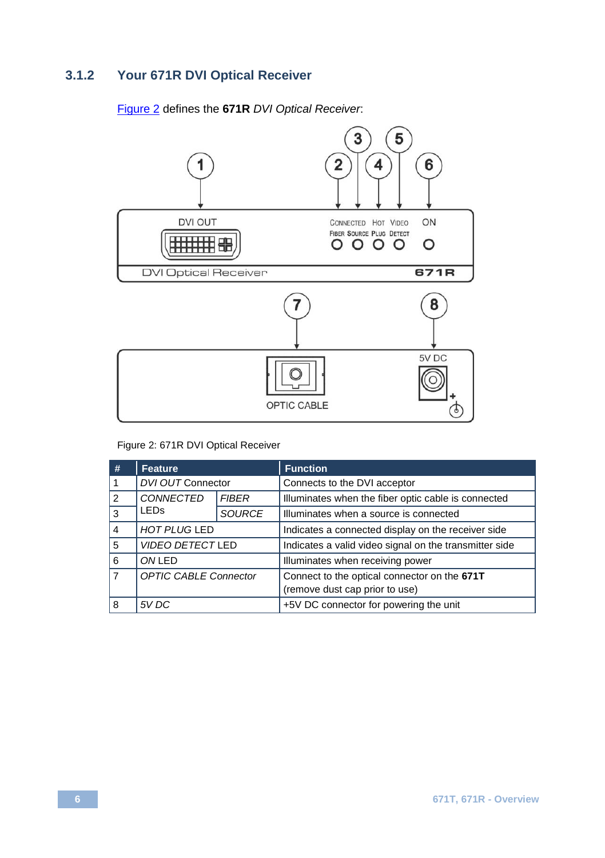### <span id="page-8-1"></span>**3.1.2 Your 671R DVI Optical Receiver**

### [Figure 2](#page-8-0) defines the **671R** *DVI Optical Receiver*:



### Figure 2: 671R DVI Optical Receiver

<span id="page-8-0"></span>

| #              | Feature                      |               | <b>Function</b>                                        |
|----------------|------------------------------|---------------|--------------------------------------------------------|
|                | DVI OUT Connector            |               | Connects to the DVI acceptor                           |
| 2              | CONNECTED                    | <b>FIBER</b>  | Illuminates when the fiber optic cable is connected    |
| 3              | <b>LED<sub>s</sub></b>       | <b>SOURCE</b> | Illuminates when a source is connected                 |
| 4              | <b>HOT PLUG LED</b>          |               | Indicates a connected display on the receiver side     |
| 5              | <b>VIDEO DETECT LED</b>      |               | Indicates a valid video signal on the transmitter side |
| 6              | ONLED                        |               | Illuminates when receiving power                       |
| $\overline{7}$ | <b>OPTIC CABLE Connector</b> |               | Connect to the optical connector on the 671T           |
|                |                              |               | (remove dust cap prior to use)                         |
| 8              | 5V DC                        |               | +5V DC connector for powering the unit                 |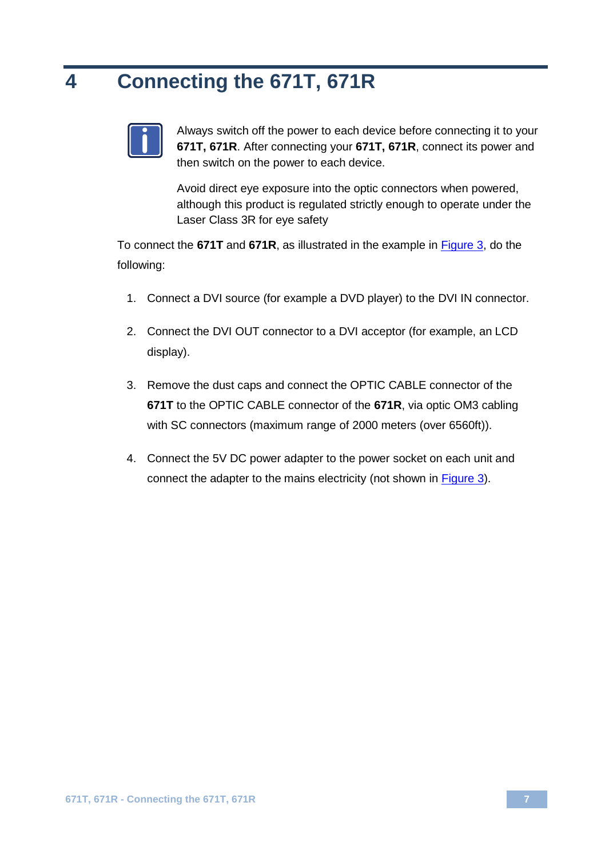# <span id="page-9-0"></span>**4 Connecting the 671T, 671R**



Always switch off the power to each device before connecting it to your **671T, 671R**. After connecting your **671T, 671R**, connect its power and then switch on the power to each device.

Avoid direct eye exposure into the optic connectors when powered, although this product is regulated strictly enough to operate under the Laser Class 3R for eye safety

To connect the **671T** and **671R**, as illustrated in the example in [Figure 3,](#page-10-0) do the following:

- 1. Connect a DVI source (for example a DVD player) to the DVI IN connector.
- 2. Connect the DVI OUT connector to a DVI acceptor (for example, an LCD display).
- 3. Remove the dust caps and connect the OPTIC CABLE connector of the **671T** to the OPTIC CABLE connector of the **671R**, via optic OM3 cabling with SC connectors (maximum range of 2000 meters (over 6560ft)).
- 4. Connect the 5V DC power adapter to the power socket on each unit and connect the adapter to the mains electricity (not shown i[n Figure 3\)](#page-10-0).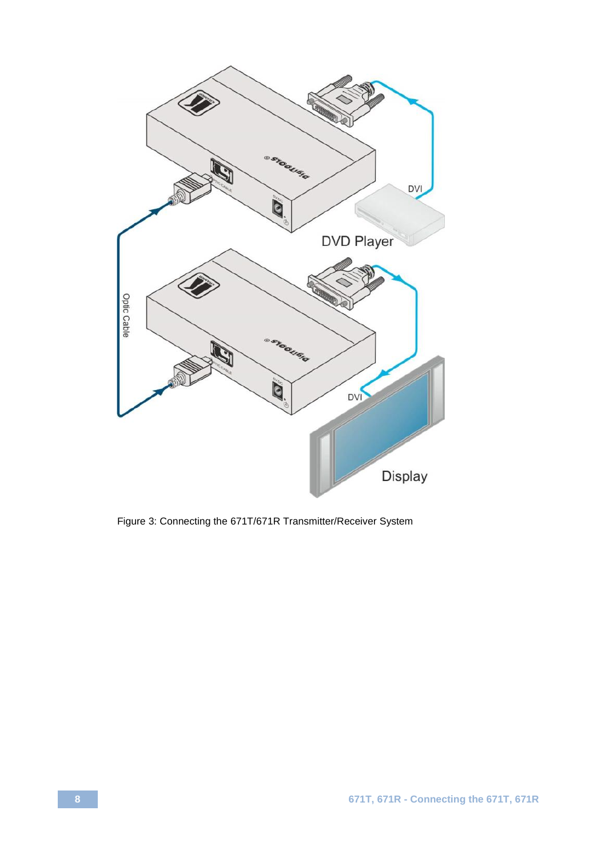

<span id="page-10-0"></span>Figure 3: Connecting the 671T/671R Transmitter/Receiver System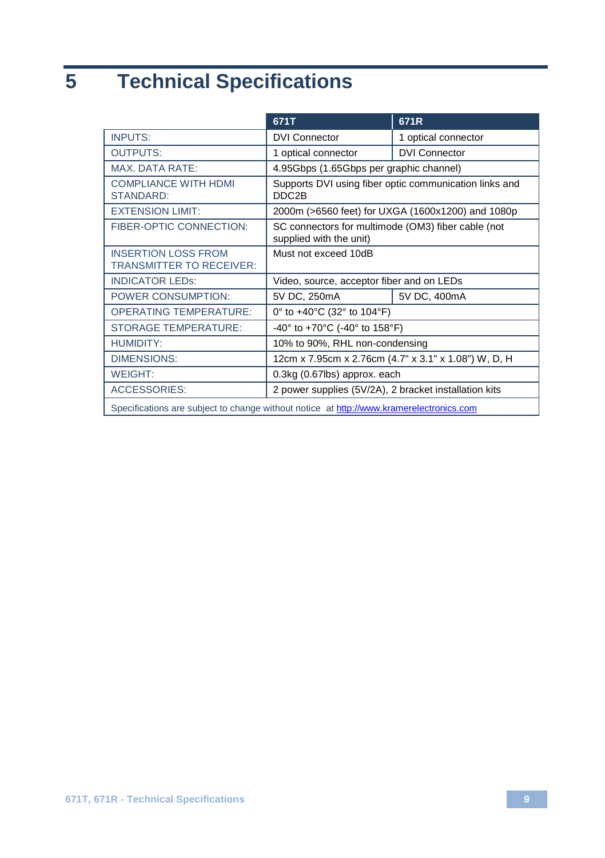# <span id="page-11-0"></span>**5 Technical Specifications**

|                                                                                         | 671T                                                                          | 671R                 |  |
|-----------------------------------------------------------------------------------------|-------------------------------------------------------------------------------|----------------------|--|
| <b>INPUTS:</b>                                                                          | <b>DVI Connector</b>                                                          | 1 optical connector  |  |
| <b>OUTPUTS:</b>                                                                         | 1 optical connector                                                           | <b>DVI Connector</b> |  |
| <b>MAX. DATA RATE:</b>                                                                  | 4.95Gbps (1.65Gbps per graphic channel)                                       |                      |  |
| <b>COMPLIANCE WITH HDMI</b><br>STANDARD:                                                | Supports DVI using fiber optic communication links and<br>DDC2B               |                      |  |
| <b>EXTENSION LIMIT:</b>                                                                 | 2000m (>6560 feet) for UXGA (1600x1200) and 1080p                             |                      |  |
| FIBER-OPTIC CONNECTION:                                                                 | SC connectors for multimode (OM3) fiber cable (not<br>supplied with the unit) |                      |  |
| <b>INSERTION LOSS FROM</b><br><b>TRANSMITTER TO RECEIVER:</b>                           | Must not exceed 10dB                                                          |                      |  |
| <b>INDICATOR LEDS:</b>                                                                  | Video, source, acceptor fiber and on LEDs                                     |                      |  |
| POWER CONSUMPTION:                                                                      | 5V DC, 250mA                                                                  | 5V DC, 400mA         |  |
| <b>OPERATING TEMPERATURE:</b>                                                           | 0° to $+40^{\circ}$ C (32° to 104°F)                                          |                      |  |
| <b>STORAGE TEMPERATURE:</b>                                                             | -40° to +70°C (-40° to 158°F)                                                 |                      |  |
| <b>HUMIDITY:</b>                                                                        | 10% to 90%, RHL non-condensing                                                |                      |  |
| <b>DIMENSIONS:</b>                                                                      | 12cm x 7.95cm x 2.76cm (4.7" x 3.1" x 1.08") W, D, H                          |                      |  |
| <b>WEIGHT:</b>                                                                          | 0.3kg (0.67lbs) approx. each                                                  |                      |  |
| <b>ACCESSORIES:</b>                                                                     | 2 power supplies (5V/2A), 2 bracket installation kits                         |                      |  |
| Specifications are subject to change without notice at http://www.kramerelectronics.com |                                                                               |                      |  |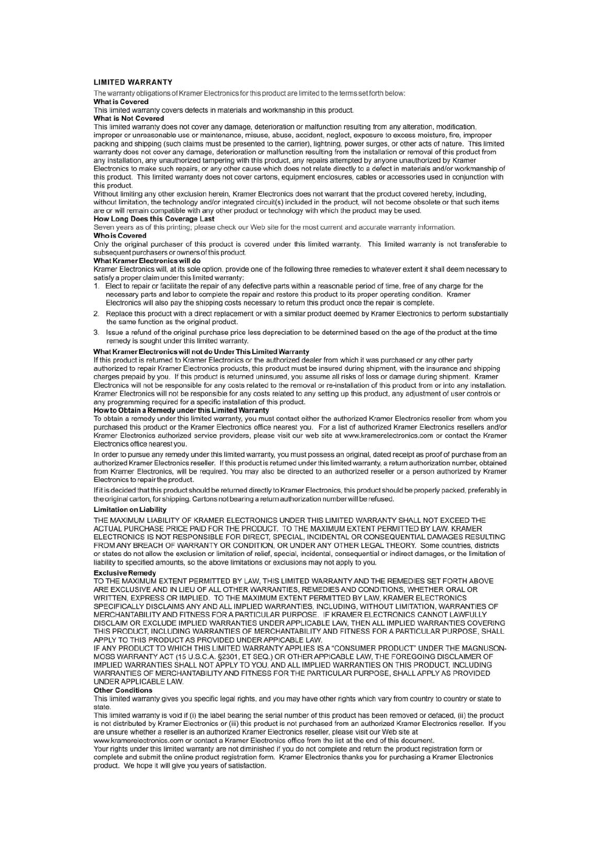#### **I IMITED WARRANTY**

The warranty obligations of Kramer Electronics for this product are limited to the terms set forth below:

#### What is Covered

This limited warranty covers defects in materials and workmanship in this product.

#### **What is Not Covered**

This limited warranty does not cover any damage, deterioration or malfunction resulting from any alteration, modification, improper or unreasonable use or maintenance, misuse, abuse, accident, neglect, exposure to excess moisture, fire, improper packing and shipping (such claims must be presented to the carrier), lightning, power surges, or other acts of nature. This limited warranty does not cover any damage, deterioration or malfunction resulting from the installation or removal of this product from any installation, any unauthorized tampering with this product, any repairs attempted by anyone unauthorized by Kramer Electronics to make such repairs, or any other cause which does not relate directly to a defect in materials and/or workmanship of this product. This limited warranty does not cover cartons, equipment enclosures, cables or accessories used in conjunction with

#### this product.

Without limiting any other exclusion herein, Kramer Electronics does not warrant that the product covered hereby, including, without limitation, the technology and/or integrated circuit(s) included in the product, will not become obsolete or that such items are or will remain compatible with any other product or technology with which the product

#### How Long Does this Coverage Last

Seven years as of this printing; please check our Web site for the most current and accurate warranty information.

#### **Who is Covered**

Only the original purchaser of this product is covered under this limited warranty. This limited warranty is not transferable to subsequent purchasers or owners of this product.

#### What Kramer Electronics will do

Kramer Electronics will, at its sole option, provide one of the following three remedies to whatever extent it shall deem necessary to satisfy a proper claim under this limited warranty:

- 1. Elect to repair or facilitate the repair of any defective parts within a reasonable period of time, free of any charge for the necessary parts and labor to complete the repair and restore this product to its proper operating condition. Kramer Electronics will also pay the shipping costs necessary to return this product once the repair is complete.
- 2. Replace this product with a direct replacement or with a similar product deemed by Kramer Electronics to perform substantially the same function as the original product.
- Issue a refund of the original purchase price less depreciation to be determined based on the age of the product at the time remedy is sought under this limited warranty.

#### What Kramer Electronics will not do Under This Limited Warranty

If this product is returned to Kramer Electronics or the authorized dealer from which it was purchased or any other party authorized to repair Kramer Electronics products, this product must be insured during shipment, with the insurance and shipping charges prepaid by you. If this product is returned uninsured, you assume all risks of loss or damage during shipment. Kramer Electronics will not be responsible for any costs related to the removal or re-installation of this product from or into any installation. Kramer Electronics will not be responsible for any costs related to any setting up this product, any adjustment of user controls or any programming required for a specific installation of this product.

#### How to Obtain a Remedy under this Limited Warranty

To obtain a remedy under this limited warranty, you must contact either the authorized Kramer Electronics reseller from whom you purchased this product or the Kramer Electronics office nearest you. For a list of authorized Kramer Electronics resellers and/or Kramer Electronics authorized service providers, please visit our web site at www.kramerelectronics.com or contact the Kramer Electronics office nearest you.

In order to pursue any remedy under this limited warranty, you must possess an original, dated receipt as proof of purchase from an authorized Kramer Electronics reseller. If this product is returned under this limited warranty, a return authorization number, obtained from Kramer Electronics, will be required. You may also be directed to an authorized reseller or a person authorized by Kramer Electronics to renair the product

If it is decided that this product should be returned directly to Kramer Electronics, this product should be properly packed, preferably in the original carton, for shipping. Cartons not bearing a return authorization number will be refused.

#### **Limitation on Liability**

THE MAXIMUM LIABILITY OF KRAMER ELECTRONICS UNDER THIS LIMITED WARRANTY SHALL NOT EXCEED THE ACTUAL PURCHASE PRICE PAID FOR THE PRODUCT. TO THE MAXIMUM EXTENT PERMITTED BY LAW, KRAMER<br>ELECTRONICS IS NOT RESPONSIBLE FOR DIRECT. SPECIAL. INCIDENTAL OR CONSEQUENTIAL DAMAGES RESULTING FROM ANY BREACH OF WARRANTY OR CONDITION. OR UNDER ANY OTHER LEGAL THEORY. Some countries, districts or states do not allow the exclusion or limitation of relief, special, incidental, consequential or indirect damages, or the limitation of liability to specified amounts, so the above limitations or exclusions may not apply to you.

#### **Exclusive Remedy**

TO THE MAXIMUM EXTENT PERMITTED BY LAW, THIS LIMITED WARRANTY AND THE REMEDIES SET FORTH ABOVE ARE EXCLUSIVE AND IN LIEU OF ALL OTHER WARRANTIES, REMEDIES AND CONDITIONS, WHETHER ORAL OR WRITTEN, EXPRESS OR IMPLIED. TO THE MAXIMUM EXTENT PERMITTED BY LAW, KRAMER ELECTRONICS SPECIFICALLY DISCLAIMS ANY AND ALL IMPLIED WARRANTIES, INCLUDING, WITHOUT LIMITATION, WARRANTIES OF MERCHANTABILITY AND FITNESS FOR A PARTICULAR PURPOSE. IF KRAMER ELECTRONICS CANNOT LAWFULLY DISCLAIM OR EXCLUDE IMPLIED WARRANTIES UNDER APPLICABLE LAW, THEN ALL IMPLIED WARRANTIES COVERING THIS PRODUCT. INCLUDING WARRANTIES OF MERCHANTABILITY AND FITNESS FOR A PARTICULAR PURPOSE, SHALL APPLY TO THIS PRODUCT AS PROVIDED UNDER APPICABLE LAW.

IF ANY PRODUCT TO WHICH THIS LIMITED WARRANTY APPLIES IS A "CONSUMER PRODUCT" UNDER THE MAGNUSON-MOSS WARRANTY ACT (15 U.S.C.A. §2301, ET SEQ.) OR OTHER APPICABLE LAW, THE FOREGOING DISCLAIMER OF IMPLIED WARRANTIES SHALL NOT APPLY TO YOU. AND ALL IMPLIED WARRANTIES ON THIS PRODUCT. INCLUDING WARRANTIES OF MERCHANTABILITY AND FITNESS FOR THE PARTICULAR PURPOSE. SHALL APPLY AS PROVIDED **UNDER APPLICABLE LAW** 

#### **Other Conditions**

This limited warranty gives you specific legal rights, and you may have other rights which vary from country to country or state to state

This limited warranty is void if (i) the label bearing the serial number of this product has been removed or defaced, (ii) the product is not distributed by Kramer Electronics or (iii) this product is not purchased from an authorized Kramer Electronics reseller. If you are unsure whether a reseller is an authorized Kramer Electronics reseller, please visit our Web site at

www.kramerelectronics.com or contact a Kramer Electronics office from the list at the end of this document.

Your rights under this limited warranty are not diminished if you do not complete and return the product registration form or complete and submit the online product registration form. Kramer Electronics thanks you for purchasing a Kramer Electronics product. We hope it will give you years of satisfaction.